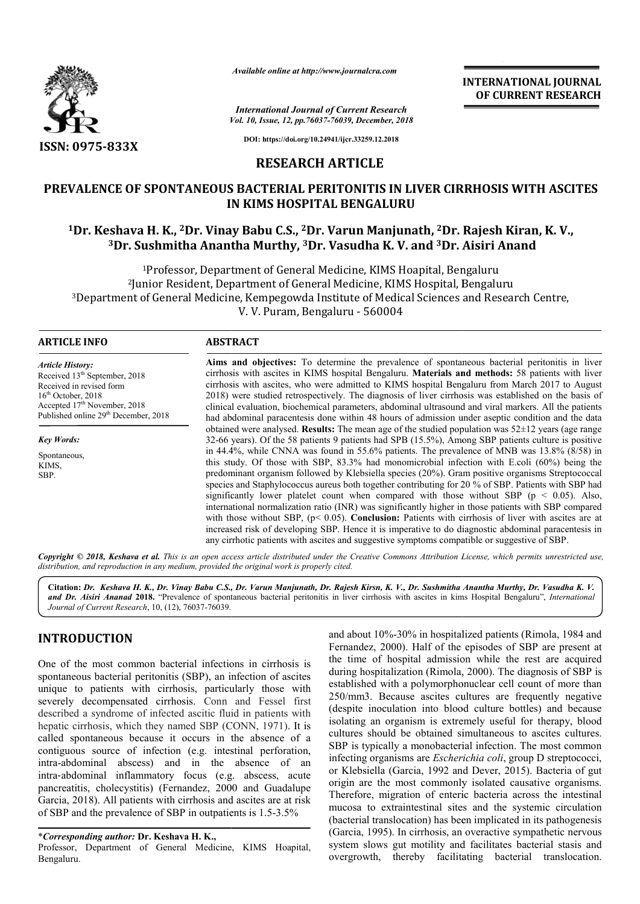

*Vol. 10, Issue, 12, pp.76037-76039, December, 2018 International Journal of Current Research*

**INTERNATIONAL JOURNAL OF CURRENT RESEARCH**

**DOI: https://doi.org/10.24941/ijcr.33259.12.2018**

## **RESEARCH ARTICLE**

# **PREVALENCE OF SPONTANEOUS BACTERIAL PERITONITIS IN LIVER CIRRHOSIS WITH ASCITES PREVALENCE OF WITH ASCITES IN KIMS HOSPITAL BENGALURU**

# **1Dr. Keshava H. K., 2Dr. Vinay Babu C Dr. C.S., 2Dr. Varun Manjunath, 2Dr. Rajesh Kiran, K. V.,** <sup>3</sup>Dr. Sushmitha Anantha Murthy, <sup>3</sup>Dr. Vasudha K. V. and <sup>3</sup>Dr. Aisiri Anand

1Professor, Department of General Medicine, KIMS Hoapital, Bengaluru <sup>1</sup>Professor, Department of General Medicine, KIMS Hoapital, Bengaluru<br>Iunior Resident, Department of General Medicine, KIMS Hospital, Bengaluru<sup>2</sup> <sup>3</sup>Department of General Medicine, Kempegowda Institute of Medical Sciences and Research Centre,<br>V. V. Puram, Bengaluru - 560004

## **ARTICLE INFO ABSTRACT**

*Article History:* Received 13<sup>th</sup> September, 2018 Received in revised form  $16<sup>th</sup>$  October, 2018 Accepted  $17^{\text{th}}$  November, 2018 Published online 29<sup>th</sup> December, 2018

Spontaneous. KIMS, SBP.

*Key Words:*

Aims and objectives: To determine the prevalence of spontaneous bacterial peritonitis in liver cirrhosis with ascites in KIMS hospital Bengaluru. Materials and methods: 58 patients with liver cirrhosis with ascites, who were admitted to KIMS hospital Bengaluru from March 2017 to August 2018) were studied retrospectively. The diagnosis of liver cirrhosis was established on the basis of clinical evaluation, biochemical parameters, abdominal ultrasound and viral markers. All the patients had abdominal paracentesis done within 48 hours of admission under aseptic condition and the data obtained were analysed. **Results:** The mean age of the studied population was 52±12 years (age range 32-66 years). Of the 58 patients 9 patients had SPB (15.5%), Among SBP patients culture is positive in 44.4%, while CNNA was found in 55.6% patients. The prevalence of MNB was 13.8% (8/58) in this study. Of those with SBP, 83.3% had monomicrobial infection with E.coli (60%) being the predominant organism followed by Klebsiella species (20%). Gram positive species and Staphylococcus aureus both together contributing for 20 % of SBP. Patients with SBP had significantly lower platelet count when compared with those without SBP ( $p < 0.05$ ). Also, international normalization ratio (INR) was significantly higher in those patients with SBP compared with those without SBP, (p< 0.05). **Conclusion:** Patients with cirrhosis of liver with ascites are at increased risk of developing SBP. Hence it is imperative to do diagnostic abdominal paracentesis any cirrhotic patients with ascites and suggestive symptoms compatible or suggestive of SBP. 82-66 years). Of the 58 patients 9 patients had SPB (15.5%), Among SBP patients culture is positive n 44.4%, while CNNA was found in 55.6% patients. The prevalence of MNB was 13.8% (8/58) in his study. Of those with SBP, Available online at http://www.journalcra.com<br> *International of Current Reseau<br>
Vol. 10, Issue, 12, pp.76037-76039, December,*<br>
DOI: https://doi.org/10.24941/igc.33259.12.201<br> **RESEARCH ARTICLE**<br> **DNTANEOUS BACTERIAL PERI** 2018) were studied retrospectively. The diagnosis of liver cirrhosis was established on the basis of clinical evaluation, biochemical parameters, abdominal ultrasound and viral markers. All the patients had abdominal para species and Staphylococcus aureus both together contributing for 20 % of SBP. Patients with SBP had significantly lower platelet count when compared with those without SBP ( $p < 0.05$ ). Also, international normalization ra

Copyright © 2018, Keshava et al. This is an open access article distributed under the Creative Commons Attribution License, which permits unrestricted use, *distribution, and reproduction in any medium, provided the original work is properly cited.*

Citation: *Dr. Keshava H. K., Dr. Vinay Babu C.S., Dr. Varun Manjunath, Dr. Rajesh Kirsn, K. V., Dr. Sushmitha Anantha Murthy, Dr. Vasudha K. V.* and Dr. Aisiri Ananad 2018. "Prevalence of spontaneous bacterial peritonitis in liver cirrhosis with ascites in kims Hospital Bengaluru", *International Journal of Current Research*, 10, (12), 76037-76039.

# **INTRODUCTION**

One of the most common bacterial infections in cirrhosis is spontaneous bacterial peritonitis (SBP), an infection of ascites unique to patients with cirrhosis, particularly those with severely decompensated cirrhosis. Conn and Fessel first described a syndrome of infected ascitic fluid in patients with hepatic cirrhosis, which they named SBP (CONN, 1971). It is called spontaneous because it occurs in the absence of a contiguous source of infection (e.g. intestinal perforation, intra-abdominal abscess) and in the absence of an intra‐abdominal inflammatory focus (e.g. abscess, acute pancreatitis, cholecystitis) (Fernandez, 2000 and Guadalupe Garcia, 2018). All patients with cirrhosis and ascites are at risk of SBP and the prevalence of SBP in outpatients is 1.5 abdominal abscess) and in the absence of abdominal inflammatory focus (e.g. abscess, acceatitis, cholecystitis) (Fernandez, 2000 and Guadalu a, 2018). All patients with cirrhosis and ascites are at risp and the prevalence

Professor, Department of General Medicine, KIMS Hoapital, Bengaluru.

and about 10%-30% in hospitalized patients (Rimola, 1984 and Fernandez, 2000). Half of the episodes of SBP are present at the time of hospital admission while the rest are acquired during hospitalization (Rimola, 2000). The diagnosis of SBP is established with a polymorphonuclear cell count of more than 250/mm3. Because ascites cultures are frequently negative (despite inoculation into blood culture bottles) and because isolating an organism is extremely useful for therapy, blood cultures should be obtained simultaneous to ascites cultures. SBP is typically a monobacterial infection. The most common infecting organisms are *Escherichia coli* or Klebsiella (Garcia, 1992 and Dever, 2015). Bacteria of gut or Klebsiella (Garcia, 1992 and Dever, 2015). Bacteria of gut origin are the most commonly isolated causative organisms. Therefore, migration of enteric bacteria across the intestinal mucosa to extraintestinal sites and the systemic circulation (bacterial translocation) has been implicated in its pathogenesis (Garcia, 1995). In cirrhosis, an overactive sympathetic nervous system slows gut motility and facilitates bacterial stasis and overgrowth, thereby facilitating bacterial translocation. and about 10%-30% in hospitalized patients (Rimola, 1984 and Fernandez, 2000). Half of the episodes of SBP are present at the time of hospital admission while the rest are acquired during hospitalization (Rimola, 2000). Th Therefore, migration of enteric bacteria across the intestinal mucosa to extraintestinal sites and the systemic circulation (bacterial translocation) has been implicated in its pathogenesis (Garcia, 1995). In cirrhosis, an **INTERNATIONAL JOURNAL**<br> **OF CURRENT RESEARCH**<br> **OF CURRENT RESEARCH**<br> **OF CURRENT RESEARCH**<br> **ISON ISON CONTRATIONS WITH ASCITES**<br> **ISON ISON ISON CONTRATIONS WITH ASCITES**<br> **ISON ISON ISON TO THE AGAIN CONTRATION CONTRAT** 

<sup>\*</sup>*Corresponding author:* **Dr. Keshava H. K.,**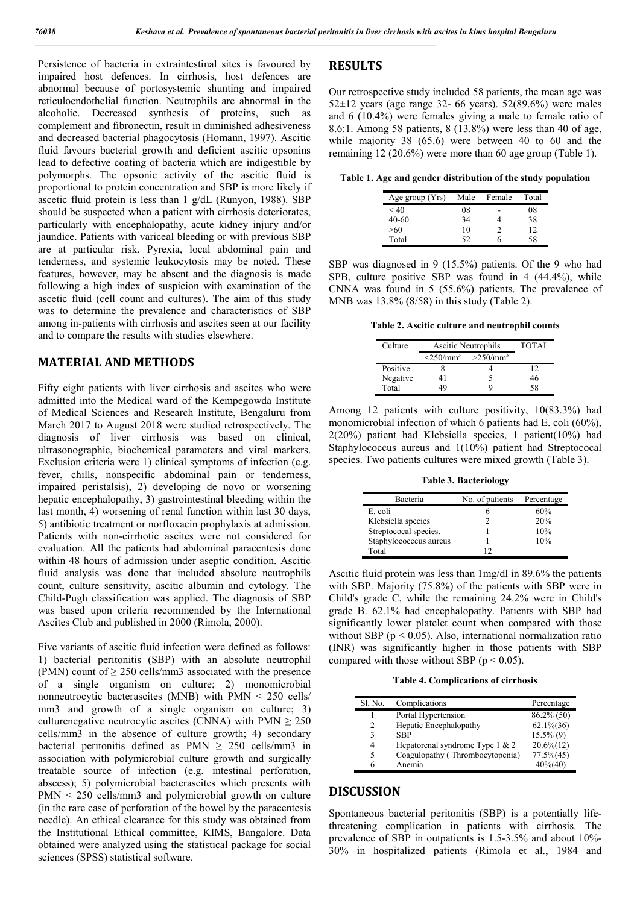Persistence of bacteria in extraintestinal sites is favoured by impaired host defences. In cirrhosis, host defences are abnormal because of portosystemic shunting and impaired reticuloendothelial function. Neutrophils are abnormal in the alcoholic. Decreased synthesis of proteins, such as complement and fibronectin, result in diminished adhesiveness and decreased bacterial phagocytosis (Homann, 1997). Ascitic fluid favours bacterial growth and deficient ascitic opsonins lead to defective coating of bacteria which are indigestible by polymorphs. The opsonic activity of the ascitic fluid is proportional to protein concentration and SBP is more likely if ascetic fluid protein is less than 1 g/dL (Runyon, 1988). SBP should be suspected when a patient with cirrhosis deteriorates, particularly with encephalopathy, acute kidney injury and/or jaundice. Patients with variceal bleeding or with previous SBP are at particular risk. Pyrexia, local abdominal pain and tenderness, and systemic leukocytosis may be noted. These features, however, may be absent and the diagnosis is made following a high index of suspicion with examination of the ascetic fluid (cell count and cultures). The aim of this study was to determine the prevalence and characteristics of SBP among in-patients with cirrhosis and ascites seen at our facility and to compare the results with studies elsewhere.

## **MATERIAL AND METHODS**

Fifty eight patients with liver cirrhosis and ascites who were admitted into the Medical ward of the Kempegowda Institute of Medical Sciences and Research Institute, Bengaluru from March 2017 to August 2018 were studied retrospectively. The diagnosis of liver cirrhosis was based on clinical, ultrasonographic, biochemical parameters and viral markers. Exclusion criteria were 1) clinical symptoms of infection (e.g. fever, chills, nonspecific abdominal pain or tenderness, impaired peristalsis), 2) developing de novo or worsening hepatic encephalopathy, 3) gastrointestinal bleeding within the last month, 4) worsening of renal function within last 30 days, 5) antibiotic treatment or norfloxacin prophylaxis at admission. Patients with non-cirrhotic ascites were not considered for evaluation. All the patients had abdominal paracentesis done within 48 hours of admission under aseptic condition. Ascitic fluid analysis was done that included absolute neutrophils count, culture sensitivity, ascitic albumin and cytology. The Child-Pugh classification was applied. The diagnosis of SBP was based upon criteria recommended by the International Ascites Club and published in 2000 (Rimola, 2000).

Five variants of ascitic fluid infection were defined as follows: 1) bacterial peritonitis (SBP) with an absolute neutrophil (PMN) count of  $\geq$  250 cells/mm3 associated with the presence of a single organism on culture; 2) monomicrobial nonneutrocytic bacterascites (MNB) with PMN < 250 cells/ mm3 and growth of a single organism on culture; 3) culturenegative neutrocytic ascites (CNNA) with PMN  $\geq 250$ cells/mm3 in the absence of culture growth; 4) secondary bacterial peritonitis defined as PMN  $\geq$  250 cells/mm3 in association with polymicrobial culture growth and surgically treatable source of infection (e.g. intestinal perforation, abscess); 5) polymicrobial bacterascites which presents with PMN < 250 cells/mm3 and polymicrobial growth on culture (in the rare case of perforation of the bowel by the paracentesis needle). An ethical clearance for this study was obtained from the Institutional Ethical committee, KIMS, Bangalore. Data obtained were analyzed using the statistical package for social sciences (SPSS) statistical software.

### **RESULTS**

Our retrospective study included 58 patients, the mean age was  $52\pm12$  years (age range 32- 66 years).  $52(89.6%)$  were males and 6 (10.4%) were females giving a male to female ratio of 8.6:1. Among 58 patients, 8 (13.8%) were less than 40 of age, while majority 38 (65.6) were between 40 to 60 and the remaining 12 (20.6%) were more than 60 age group (Table 1).

**Table 1. Age and gender distribution of the study population**

| Age group $(Yrs)$ | Male | Female | Total |
|-------------------|------|--------|-------|
| < 40              | 08   |        | 08    |
| 40-60             | 34   |        | 38    |
| >60               | 10   |        | 12    |
| Total             | 52   |        | 58    |

SBP was diagnosed in 9 (15.5%) patients. Of the 9 who had SPB, culture positive SBP was found in 4 (44.4%), while CNNA was found in 5 (55.6%) patients. The prevalence of MNB was 13.8% (8/58) in this study (Table 2).

**Table 2. Ascitic culture and neutrophil counts**

| Culture  | Ascitic Neutrophils        |             | TOTAL |
|----------|----------------------------|-------------|-------|
|          | $\leq$ 250/mm <sup>3</sup> | $>250/mm^3$ |       |
| Positive |                            |             | 12    |
| Negative |                            |             | 46    |
| Total    |                            |             | 58    |

Among 12 patients with culture positivity, 10(83.3%) had monomicrobial infection of which 6 patients had E. coli (60%), 2(20%) patient had Klebsiella species, 1 patient(10%) had Staphylococcus aureus and 1(10%) patient had Streptococal species. Two patients cultures were mixed growth (Table 3).

**Table 3. Bacteriology**

| Bacteria               | No. of patients | Percentage |
|------------------------|-----------------|------------|
| E. coli                |                 | 60%        |
| Klebsiella species     |                 | 20%        |
| Streptococal species.  |                 | 10%        |
| Staphylococccus aureus |                 | 10%        |
| Total                  |                 |            |

Ascitic fluid protein was less than 1mg/dl in 89.6% the patients with SBP. Majority (75.8%) of the patients with SBP were in Child's grade C, while the remaining 24.2% were in Child's grade B. 62.1% had encephalopathy. Patients with SBP had significantly lower platelet count when compared with those without SBP ( $p < 0.05$ ). Also, international normalization ratio (INR) was significantly higher in those patients with SBP compared with those without SBP ( $p < 0.05$ ).

**Table 4. Complications of cirrhosis**

| Sl. No. | Complications                   | Percentage      |
|---------|---------------------------------|-----------------|
|         | Portal Hypertension             | $86.2\%$ (50)   |
| 2       | Hepatic Encephalopathy          | $62.1\%$ $(36)$ |
| 3       | <b>SBP</b>                      | $15.5\%$ (9)    |
| 4       | Hepatorenal syndrome Type 1 & 2 | $20.6\%$ $(12)$ |
| 5       | Coagulopathy (Thrombocytopenia) | $77.5\%(45)$    |
|         | Anemia                          | $40\% (40)$     |
|         |                                 |                 |

### **DISCUSSION**

Spontaneous bacterial peritonitis (SBP) is a potentially lifethreatening complication in patients with cirrhosis. The prevalence of SBP in outpatients is 1.5-3.5% and about 10%- 30% in hospitalized patients (Rimola et al., 1984 and